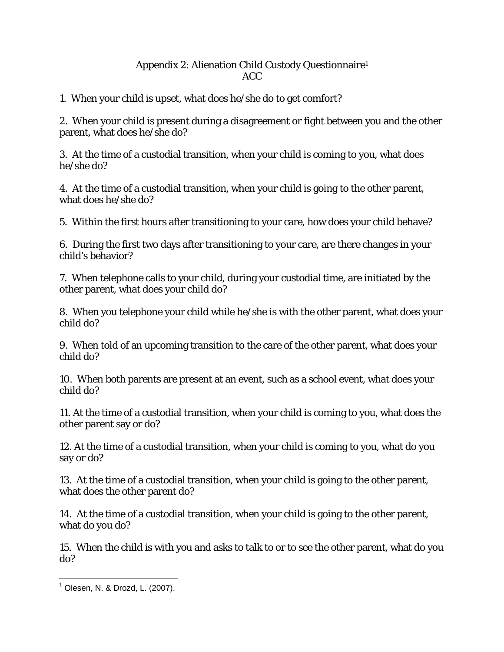## Appendix 2: Alienation Child Custody Questionnaire1 ACC

1. When your child is upset, what does he/she do to get comfort?

2. When your child is present during a disagreement or fight between you and the other parent, what does he/she do?

3. At the time of a custodial transition, when your child is coming to you, what does he/she do?

4. At the time of a custodial transition, when your child is going to the other parent, what does he/she do?

5. Within the first hours after transitioning to your care, how does your child behave?

6. During the first two days after transitioning to your care, are there changes in your child's behavior?

7. When telephone calls to your child, during your custodial time, are initiated by the other parent, what does your child do?

8. When you telephone your child while he/she is with the other parent, what does your child do?

9. When told of an upcoming transition to the care of the other parent, what does your child do?

10. When both parents are present at an event, such as a school event, what does your child do?

11. At the time of a custodial transition, when your child is coming to you, what does the other parent say or do?

12. At the time of a custodial transition, when your child is coming to you, what do you say or do?

13. At the time of a custodial transition, when your child is going to the other parent, what does the other parent do?

14. At the time of a custodial transition, when your child is going to the other parent, what do you do?

15. When the child is with you and asks to talk to or to see the other parent, what do you do?

 1 Olesen, N. & Drozd, L. (2007).